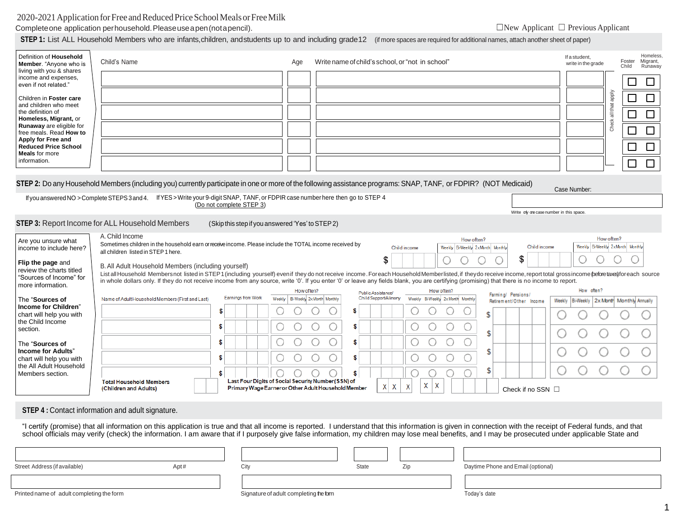# 2020-2021 Application for Free and Reduced Price School Meals or Free Milk

Completeone application perhousehold. Please use a pen (notapencil). ◯New Applicant □ Previous Applicant □ Previous Applicant

1

**STEP 1:** List ALL Household Members who are infants,children, andstudents up to and including grade 12 (if more spaces are required for additional names, attach another sheet of paper)

| Definition of Household<br>Member. "Anyone who is<br>living with you & shares<br>income and expenses,<br>even if not related."<br>Children in Foster care<br>and children who meet<br>the definition of<br>Homeless, Migrant, or<br>Runaway are eligible for<br>free meals. Read How to<br>Apply for Free and<br><b>Reduced Price School</b><br><b>Meals</b> for more<br>information. | Child's Name<br>STEP 2: Do any Household Members (including you) currently participate in one or more of the following assistance programs: SNAP, TANF, or FDPIR? (NOT Medicaid)                                                                                                                                                                                                                                                                                              |                                                           | Age                                             | Write name of child's school, or "not in school" |                                                 |                                                |                                           | If a student,<br>write in the grade | Homeless<br>Migrant,<br>Foster<br>Child<br>Runaway<br>$\Box$<br>$\Box$<br>Aldde<br>$\Box$<br>$\Box$<br>all that<br>$\Box$<br>$\Box$<br>Check <sub>?</sub><br>$\Box$<br>$\Box$<br>$\Box$<br>$\Box$<br>$\Box$<br>$\Box$ |
|---------------------------------------------------------------------------------------------------------------------------------------------------------------------------------------------------------------------------------------------------------------------------------------------------------------------------------------------------------------------------------------|-------------------------------------------------------------------------------------------------------------------------------------------------------------------------------------------------------------------------------------------------------------------------------------------------------------------------------------------------------------------------------------------------------------------------------------------------------------------------------|-----------------------------------------------------------|-------------------------------------------------|--------------------------------------------------|-------------------------------------------------|------------------------------------------------|-------------------------------------------|-------------------------------------|-----------------------------------------------------------------------------------------------------------------------------------------------------------------------------------------------------------------------|
|                                                                                                                                                                                                                                                                                                                                                                                       | If you answered NO > Complete STEPS 3 and 4. If YES > Write your 9-digit SNAP, TANF, or FDPIR case number here then go to STEP 4                                                                                                                                                                                                                                                                                                                                              |                                                           |                                                 |                                                  |                                                 |                                                |                                           | Case Number:                        |                                                                                                                                                                                                                       |
|                                                                                                                                                                                                                                                                                                                                                                                       |                                                                                                                                                                                                                                                                                                                                                                                                                                                                               | (Do not complete STEP 3)                                  |                                                 |                                                  |                                                 |                                                | Write only one case number in this space. |                                     |                                                                                                                                                                                                                       |
|                                                                                                                                                                                                                                                                                                                                                                                       | STEP 3: Report Income for ALL Household Members                                                                                                                                                                                                                                                                                                                                                                                                                               | (Skip this step if you answered 'Yes' to STEP 2)          |                                                 |                                                  |                                                 |                                                |                                           |                                     |                                                                                                                                                                                                                       |
| Are you unsure what<br>income to include here?<br>Flip the page and                                                                                                                                                                                                                                                                                                                   | A. Child Income<br>Sometimes children in the household earn or receive income. Please include the TOTAL income received by<br>all children listed in STEP 1 here.<br>B. All Adult Household Members (including yourself)                                                                                                                                                                                                                                                      |                                                           |                                                 | \$                                               | Child income                                    | How often?<br>Weekly Bi-Weekly 2xMonth Monthly | Child income<br>\$                        |                                     | How often?<br>Weekly Bi-Weekly 2xMonth Monthly                                                                                                                                                                        |
| review the charts titled<br>"Sources of Income" for<br>more information.                                                                                                                                                                                                                                                                                                              | List all Household Membersnot listed in STEP1 (including yourself) even if they do not receive income. Foreach Household Memberlisted, if they do receive income, report total grossincome (pefore taxes) for each source<br>in whole dollars only. If they do not receive income from any source, write '0'. If you enter '0' or leave any fields blank, you are certifying (promising) that there is no income to report.                                                   |                                                           |                                                 |                                                  |                                                 |                                                |                                           |                                     |                                                                                                                                                                                                                       |
|                                                                                                                                                                                                                                                                                                                                                                                       | Name of Adult Household Members (First and Last)                                                                                                                                                                                                                                                                                                                                                                                                                              | Earnings from Work                                        | How often?<br>Weekly Bi-Weekly 2x Month Monthly | Public Assistance/<br>Child Support/Alimony      | How often?<br>Weekly Bi-Weekly 2x Month Monthly | Farming/ Pensions/                             |                                           | How often?                          |                                                                                                                                                                                                                       |
| The "Sources of<br>Income for Children"                                                                                                                                                                                                                                                                                                                                               |                                                                                                                                                                                                                                                                                                                                                                                                                                                                               | \$                                                        |                                                 | S                                                |                                                 |                                                | Retirement/Other Income                   | Weekly                              | Bi-Weekly   2x Month Monthly Annually                                                                                                                                                                                 |
| chart will help you with<br>the Child Income                                                                                                                                                                                                                                                                                                                                          |                                                                                                                                                                                                                                                                                                                                                                                                                                                                               | \$<br>U                                                   |                                                 | \$                                               | U                                               | \$                                             |                                           |                                     |                                                                                                                                                                                                                       |
| section.                                                                                                                                                                                                                                                                                                                                                                              |                                                                                                                                                                                                                                                                                                                                                                                                                                                                               | \$                                                        |                                                 | \$                                               |                                                 | \$                                             |                                           |                                     |                                                                                                                                                                                                                       |
| The "Sources of<br><b>Income for Adults"</b>                                                                                                                                                                                                                                                                                                                                          |                                                                                                                                                                                                                                                                                                                                                                                                                                                                               |                                                           |                                                 |                                                  | O                                               | \$                                             |                                           |                                     |                                                                                                                                                                                                                       |
| chart will help you with<br>the All Adult Household                                                                                                                                                                                                                                                                                                                                   |                                                                                                                                                                                                                                                                                                                                                                                                                                                                               | \$<br>O                                                   |                                                 | \$                                               | С                                               | \$                                             |                                           |                                     |                                                                                                                                                                                                                       |
| Members section.                                                                                                                                                                                                                                                                                                                                                                      | <b>Total Household Members</b>                                                                                                                                                                                                                                                                                                                                                                                                                                                | \$<br>Last Four Digits of Social Security Number (SSN) of |                                                 | X<br>$\mathsf{X}$                                | χ<br>X<br>X                                     |                                                |                                           |                                     |                                                                                                                                                                                                                       |
|                                                                                                                                                                                                                                                                                                                                                                                       | (Children and Adults)                                                                                                                                                                                                                                                                                                                                                                                                                                                         | Primary Wage Earner or Other Adult Household Member       |                                                 |                                                  |                                                 |                                                | Check if no SSN $\square$                 |                                     |                                                                                                                                                                                                                       |
|                                                                                                                                                                                                                                                                                                                                                                                       | <b>STEP 4: Contact information and adult signature.</b><br>"I certify (promise) that all information on this application is true and that all income is reported. I understand that this information is given in connection with the receipt of Federal funds, and that<br>school officials may verify (check) the information. I am aware that if I purposely give false information, my children may lose meal benefits, and I may be prosecuted under applicable State and |                                                           |                                                 |                                                  |                                                 |                                                |                                           |                                     |                                                                                                                                                                                                                       |
|                                                                                                                                                                                                                                                                                                                                                                                       |                                                                                                                                                                                                                                                                                                                                                                                                                                                                               |                                                           |                                                 |                                                  |                                                 |                                                |                                           |                                     |                                                                                                                                                                                                                       |
| Street Address (if available)                                                                                                                                                                                                                                                                                                                                                         | Apt#                                                                                                                                                                                                                                                                                                                                                                                                                                                                          | City                                                      |                                                 | State                                            | Zip                                             | Daytime Phone and Email (optional)             |                                           |                                     |                                                                                                                                                                                                                       |
| Printed name of adult completing the form                                                                                                                                                                                                                                                                                                                                             |                                                                                                                                                                                                                                                                                                                                                                                                                                                                               |                                                           |                                                 |                                                  |                                                 |                                                |                                           |                                     |                                                                                                                                                                                                                       |
|                                                                                                                                                                                                                                                                                                                                                                                       |                                                                                                                                                                                                                                                                                                                                                                                                                                                                               | Signature of adult completing the form                    |                                                 |                                                  |                                                 | Today's date                                   |                                           |                                     |                                                                                                                                                                                                                       |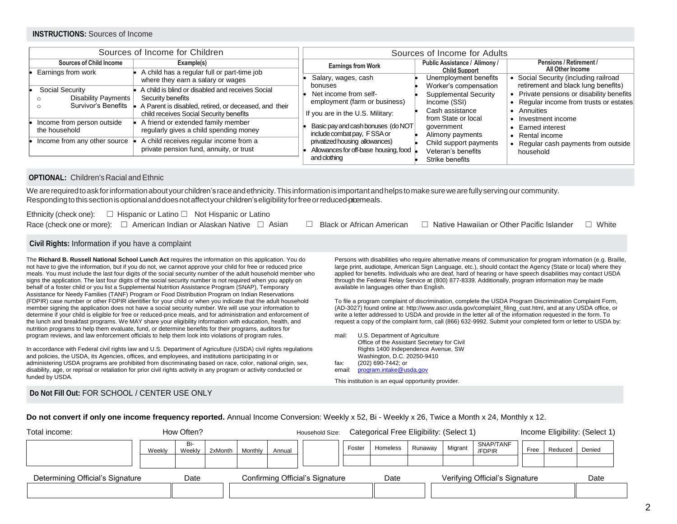## **INSTRUCTIONS:** Sources of Income

|                                                                                            | Sources of Income for Children                                                                                                                                                                                     | Sources of Income for Adults                                                                                                            |                                                                                                                   |                                                                                                                                                                                 |  |  |
|--------------------------------------------------------------------------------------------|--------------------------------------------------------------------------------------------------------------------------------------------------------------------------------------------------------------------|-----------------------------------------------------------------------------------------------------------------------------------------|-------------------------------------------------------------------------------------------------------------------|---------------------------------------------------------------------------------------------------------------------------------------------------------------------------------|--|--|
| <b>Sources of Child Income</b>                                                             | Example(s)                                                                                                                                                                                                         | <b>Earnings from Work</b>                                                                                                               | Public Assistance / Alimony /<br><b>Child Support</b>                                                             | Pensions / Retirement /<br>All Other Income                                                                                                                                     |  |  |
| Earnings from work<br>Social Security<br><b>Disability Payments</b><br>Survivor's Benefits | A child has a regular full or part-time job<br>where they earn a salary or wages<br>A child is blind or disabled and receives Social<br>Security benefits<br>A Parent is disabled, retired, or deceased, and their | Salary, wages, cash<br>bonuses<br>Net income from self-<br>employment (farm or business)                                                | Unemployment benefits<br>Worker's compensation<br><b>Supplemental Security</b><br>Income (SSI)<br>Cash assistance | Social Security (including railroad<br>retirement and black lung benefits)<br>Private pensions or disability benefits<br>• Regular income from trusts or estates<br>• Annuities |  |  |
| Income from person outside<br>the household<br>Income from any other source                | child receives Social Security benefits<br>A friend or extended family member<br>regularly gives a child spending money<br>A child receives regular income from a                                                  | If you are in the U.S. Military:<br>Basic pay and cash bonuses (do NOT<br>include combat pay, FSSA or<br>privatized housing allowances) | from State or local<br>government<br>Alimony payments                                                             | Investment income<br><b>Earned interest</b><br>Rental income                                                                                                                    |  |  |
|                                                                                            | private pension fund, annuity, or trust                                                                                                                                                                            | Allowances for off-base housing, food<br>and clothing                                                                                   | Child support payments<br>Veteran's benefits<br>Strike benefits                                                   | Regular cash payments from outside<br>household                                                                                                                                 |  |  |

#### **OPTIONAL:** Children's Racial and Ethnic

we are required to ask for information about your children's race and ethnicity. This information is important and helps to make sure we are fully serving our community. Responding to this section is optional and does not affect your children's eligibility for free or reduced-pricemeals.

| Ethnicity (check one): $\square$ Hispanic or Latino $\square$ Not Hispanic or Latino                                                                  |  |  |
|-------------------------------------------------------------------------------------------------------------------------------------------------------|--|--|
| Race (check one or more): □ American Indian or Alaskan Native □ Asian □ Black or African American □ Native Hawaiian or Other Pacific Islander □ White |  |  |

#### **Civil Rights:** Information if you have a complaint

The **Richard B. Russell National School Lunch Act** requires the information on this application. You do not have to give the information, but if you do not, we cannot approve your child for free or reduced price meals. You must include the last four digits of the social security number of the adult household member who signs the application. The last four digits of the social security number is not required when you apply on behalf of a foster child or you list a Supplemental Nutrition Assistance Program (SNAP), Temporary Assistance for Needy Families (TANF) Program or Food Distribution Program on Indian Reservations (FDPIR) case number or other FDPIR identifier for your child or when you indicate that the adult household member signing the application does not have a social security number. We will use your information to determine if your child is eligible for free or reduced-price meals, and for administration and enforcement of the lunch and breakfast programs. We MAY share your eligibility information with education, health, and nutrition programs to help them evaluate, fund, or determine benefits for their programs, auditors for program reviews, and law enforcement officials to help them look into violations of program rules.

In accordance with Federal civil rights law and U.S. Department of Agriculture (USDA) civil rights regulations and policies, the USDA, its Agencies, offices, and employees, and institutions participating in or administering USDA programs are prohibited from discriminating based on race, color, national origin, sex, disability, age, or reprisal or retaliation for prior civil rights activity in any program or activity conducted or funded by USDA.

Persons with disabilities who require alternative means of communication for program information (e.g. Braille, large print, audiotape, American Sign Language, etc.), should contact the Agency (State or local) where they applied for benefits. Individuals who are deaf, hard of hearing or have speech disabilities may contact USDA through the Federal Relay Service at (800) 877-8339. Additionally, program information may be made available in languages other than English.

To file a program complaint of discrimination, complete the USDA Program Discrimination Complaint Form, (AD-3027) found online at: http://www.ascr.usda.gov/complaint\_filing\_cust.html, and at any USDA office, or write a letter addressed to USDA and provide in the letter all of the information requested in the form. To request a copy of the complaint form, call (866) 632-9992. Submit your completed form or letter to USDA by:

mail: U.S. Department of Agriculture Office of the Assistant Secretary for Civil Rights 1400 Independence Avenue, SW Washington, D.C. 20250-9410 fax: (202) 690-7442; or email: [program.intake@usda.gov](mailto:program.intake@usda.gov)

This institution is an equal opportunity provider.

## **Do Not Fill Out:** FOR SCHOOL / CENTER USE ONLY

**Do not convert if only one income frequency reported.** Annual Income Conversion: Weekly x 52, Bi - Weekly x 26, Twice a Month x 24, Monthly x 12.

| Total income:                    | How Often? |               |         |         | Household Size: | Categorical Free Eligibility: (Select 1) |        |          |         | Income Eligibility: (Select 1) |                                |      |         |        |
|----------------------------------|------------|---------------|---------|---------|-----------------|------------------------------------------|--------|----------|---------|--------------------------------|--------------------------------|------|---------|--------|
|                                  | Weekly     | Bi-<br>Weekly | 2xMonth | Monthly | Annual          |                                          | Foster | Homeless | Runaway | Migrant                        | SNAP/TANF<br>/FDPIR            | Free | Reduced | Denied |
|                                  |            |               |         |         |                 |                                          |        |          |         |                                |                                |      |         |        |
| Determining Official's Signature |            | Date          |         |         |                 | Confirming Official's Signature          |        | Date     |         |                                | Verifying Official's Signature |      |         | Date   |
|                                  |            |               |         |         |                 |                                          |        |          |         |                                |                                |      |         |        |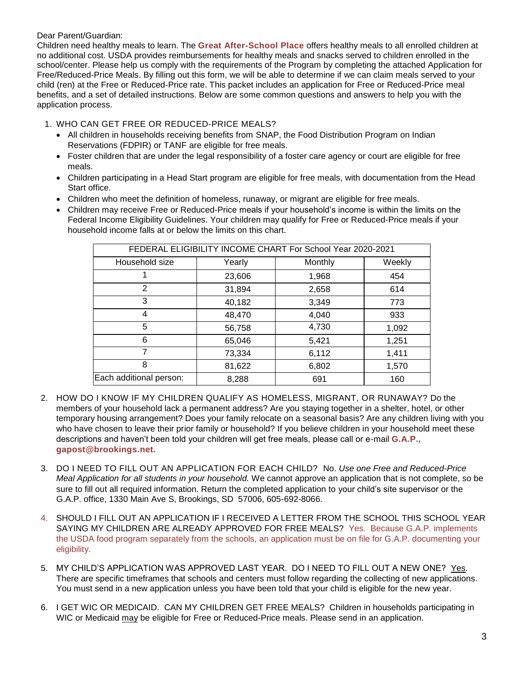# Dear Parent/Guardian:

Children need healthy meals to learn. The **Great After-School Place** offers healthy meals to all enrolled children at no additional cost. USDA provides reimbursements for healthy meals and snacks served to children enrolled in the school/center. Please help us comply with the requirements of the Program by completing the attached Application for Free/Reduced-Price Meals. By filling out this form, we will be able to determine if we can claim meals served to your child (ren) at the Free or Reduced-Price rate. This packet includes an application for Free or Reduced-Price meal benefits, and a set of detailed instructions. Below are some common questions and answers to help you with the application process.

# 1. WHO CAN GET FREE OR REDUCED-PRICE MEALS?

- All children in households receiving benefits from SNAP, the Food Distribution Program on Indian Reservations (FDPIR) or TANF are eligible for free meals.
- Foster children that are under the legal responsibility of a foster care agency or court are eligible for free meals.
- Children participating in a Head Start program are eligible for free meals, with documentation from the Head Start office.
- Children who meet the definition of homeless, runaway, or migrant are eligible for free meals.
- Children may receive Free or Reduced-Price meals if your household's income is within the limits on the Federal Income Eligibility Guidelines. Your children may qualify for Free or Reduced-Price meals if your household income falls at or below the limits on this chart.

| FEDERAL ELIGIBILITY INCOME CHART For School Year 2020-2021 |        |         |        |  |  |
|------------------------------------------------------------|--------|---------|--------|--|--|
| Household size                                             | Yearly | Monthly | Weekly |  |  |
|                                                            | 23,606 | 1,968   | 454    |  |  |
| 2                                                          | 31,894 | 2,658   | 614    |  |  |
| 3                                                          | 40,182 | 3,349   | 773    |  |  |
| 4                                                          | 48,470 | 4,040   | 933    |  |  |
| 5                                                          | 56,758 | 4,730   | 1,092  |  |  |
| 6                                                          | 65,046 | 5,421   | 1,251  |  |  |
| 7                                                          | 73,334 | 6,112   | 1,411  |  |  |
| 8                                                          | 81,622 | 6,802   | 1,570  |  |  |
| Each additional person:                                    | 8,288  | 691     | 160    |  |  |

- 2. HOW DO I KNOW IF MY CHILDREN QUALIFY AS HOMELESS, MIGRANT, OR RUNAWAY? Do the members of your household lack a permanent address? Are you staying together in a shelter, hotel, or other temporary housing arrangement? Does your family relocate on a seasonal basis? Are any children living with you who have chosen to leave their prior family or household? If you believe children in your household meet these descriptions and haven't been told your children will get free meals, please call or e-mail **G.A.P., gapost@brookings.net.**
- 3. DO I NEED TO FILL OUT AN APPLICATION FOR EACH CHILD? No. *Use one Free and Reduced-Price Meal Application for all students in your household.* We cannot approve an application that is not complete, so be sure to fill out all required information. Return the completed application to your child's site supervisor or the G.A.P. office, 1330 Main Ave S, Brookings, SD 57006, 605-692-8066.
- 4. SHOULD I FILL OUT AN APPLICATION IF I RECEIVED A LETTER FROM THE SCHOOL THIS SCHOOL YEAR SAYING MY CHILDREN ARE ALREADY APPROVED FOR FREE MEALS? Yes. Because G.A.P. implements the USDA food program separately from the schools, an application must be on file for G.A.P. documenting your eligibility.
- 5. MY CHILD'S APPLICATION WAS APPROVED LAST YEAR. DO I NEED TO FILL OUT A NEW ONE? Yes. There are specific timeframes that schools and centers must follow regarding the collecting of new applications. You must send in a new application unless you have been told that your child is eligible for the new year.
- 6. I GET WIC OR MEDICAID. CAN MY CHILDREN GET FREE MEALS? Children in households participating in WIC or Medicaid may be eligible for Free or Reduced-Price meals. Please send in an application.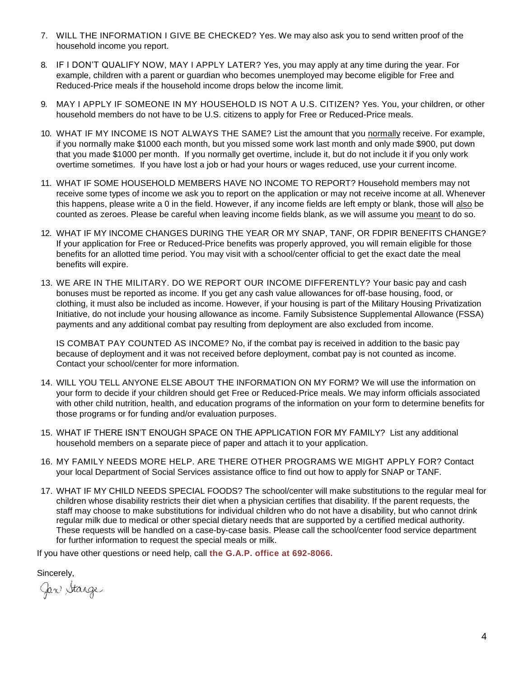- 7. WILL THE INFORMATION I GIVE BE CHECKED? Yes. We may also ask you to send written proof of the household income you report.
- 8. IF I DON'T QUALIFY NOW, MAY I APPLY LATER? Yes, you may apply at any time during the year. For example, children with a parent or guardian who becomes unemployed may become eligible for Free and Reduced-Price meals if the household income drops below the income limit.
- 9. MAY I APPLY IF SOMEONE IN MY HOUSEHOLD IS NOT A U.S. CITIZEN? Yes. You, your children, or other household members do not have to be U.S. citizens to apply for Free or Reduced-Price meals.
- 10. WHAT IF MY INCOME IS NOT ALWAYS THE SAME? List the amount that you normally receive. For example, if you normally make \$1000 each month, but you missed some work last month and only made \$900, put down that you made \$1000 per month. If you normally get overtime, include it, but do not include it if you only work overtime sometimes. If you have lost a job or had your hours or wages reduced, use your current income.
- 11. WHAT IF SOME HOUSEHOLD MEMBERS HAVE NO INCOME TO REPORT? Household members may not receive some types of income we ask you to report on the application or may not receive income at all. Whenever this happens, please write a 0 in the field. However, if any income fields are left empty or blank, those will also be counted as zeroes. Please be careful when leaving income fields blank, as we will assume you meant to do so.
- 12. WHAT IF MY INCOME CHANGES DURING THE YEAR OR MY SNAP, TANF, OR FDPIR BENEFITS CHANGE? If your application for Free or Reduced-Price benefits was properly approved, you will remain eligible for those benefits for an allotted time period. You may visit with a school/center official to get the exact date the meal benefits will expire.
- 13. WE ARE IN THE MILITARY. DO WE REPORT OUR INCOME DIFFERENTLY? Your basic pay and cash bonuses must be reported as income. If you get any cash value allowances for off-base housing, food, or clothing, it must also be included as income. However, if your housing is part of the Military Housing Privatization Initiative, do not include your housing allowance as income. Family Subsistence Supplemental Allowance (FSSA) payments and any additional combat pay resulting from deployment are also excluded from income.

IS COMBAT PAY COUNTED AS INCOME? No, if the combat pay is received in addition to the basic pay because of deployment and it was not received before deployment, combat pay is not counted as income. Contact your school/center for more information.

- 14. WILL YOU TELL ANYONE ELSE ABOUT THE INFORMATION ON MY FORM? We will use the information on your form to decide if your children should get Free or Reduced-Price meals. We may inform officials associated with other child nutrition, health, and education programs of the information on your form to determine benefits for those programs or for funding and/or evaluation purposes.
- 15. WHAT IF THERE ISN'T ENOUGH SPACE ON THE APPLICATION FOR MY FAMILY? List any additional household members on a separate piece of paper and attach it to your application.
- 16. MY FAMILY NEEDS MORE HELP. ARE THERE OTHER PROGRAMS WE MIGHT APPLY FOR? Contact your local Department of Social Services assistance office to find out how to apply for SNAP or TANF.
- 17. WHAT IF MY CHILD NEEDS SPECIAL FOODS? The school/center will make substitutions to the regular meal for children whose disability restricts their diet when a physician certifies that disability. If the parent requests, the staff may choose to make substitutions for individual children who do not have a disability, but who cannot drink regular milk due to medical or other special dietary needs that are supported by a certified medical authority. These requests will be handled on a case-by-case basis. Please call the school/center food service department for further information to request the special meals or milk.

If you have other questions or need help, call **the G.A.P. office at 692-8066.**

Sincerely,<br>Gan Stange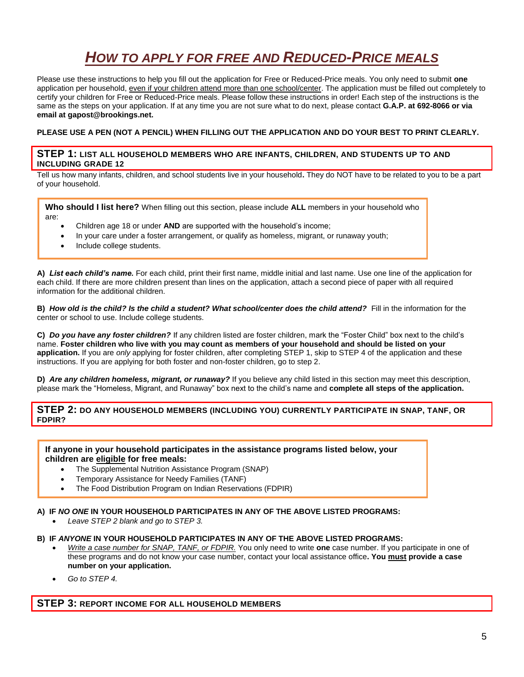# *HOW TO APPLY FOR FREE AND REDUCED-PRICE MEALS*

Please use these instructions to help you fill out the application for Free or Reduced-Price meals. You only need to submit **one** application per household, even if your children attend more than one school/center. The application must be filled out completely to certify your children for Free or Reduced-Price meals. Please follow these instructions in order! Each step of the instructions is the same as the steps on your application. If at any time you are not sure what to do next, please contact **G.A.P. at 692-8066 or via email at gapost@brookings.net.**

## **PLEASE USE A PEN (NOT A PENCIL) WHEN FILLING OUT THE APPLICATION AND DO YOUR BEST TO PRINT CLEARLY.**

## **STEP 1: LIST ALL HOUSEHOLD MEMBERS WHO ARE INFANTS, CHILDREN, AND STUDENTS UP TO AND INCLUDING GRADE 12**

Tell us how many infants, children, and school students live in your household**.** They do NOT have to be related to you to be a part of your household.

**Who should I list here?** When filling out this section, please include **ALL** members in your household who are:

- Children age 18 or under **AND** are supported with the household's income;
- In your care under a foster arrangement, or qualify as homeless, migrant, or runaway youth;
- Include college students.

**A)** *List each child's name.* For each child, print their first name, middle initial and last name. Use one line of the application for each child. If there are more children present than lines on the application, attach a second piece of paper with all required information for the additional children.

**B)** *How old is the child? Is the child a student? What school/center does the child attend?* Fill in the information for the center or school to use. Include college students.

**C)** *Do you have any foster children?* If any children listed are foster children, mark the "Foster Child" box next to the child's name. **Foster children who live with you may count as members of your household and should be listed on your application.** If you are *only* applying for foster children, after completing STEP 1, skip to STEP 4 of the application and these instructions. If you are applying for both foster and non-foster children, go to step 2.

**D)** *Are any children homeless, migrant, or runaway?* If you believe any child listed in this section may meet this description, please mark the "Homeless, Migrant, and Runaway" box next to the child's name and **complete all steps of the application.**

## **STEP 2: DO ANY HOUSEHOLD MEMBERS (INCLUDING YOU) CURRENTLY PARTICIPATE IN SNAP, TANF, OR FDPIR?**

**If anyone in your household participates in the assistance programs listed below, your children are eligible for free meals:**

- The Supplemental Nutrition Assistance Program (SNAP)
- Temporary Assistance for Needy Families (TANF)
- The Food Distribution Program on Indian Reservations (FDPIR)

#### **A) IF** *NO ONE* **IN YOUR HOUSEHOLD PARTICIPATES IN ANY OF THE ABOVE LISTED PROGRAMS:**

*Leave STEP 2 blank and go to STEP 3.*

#### **B) IF** *ANYONE* **IN YOUR HOUSEHOLD PARTICIPATES IN ANY OF THE ABOVE LISTED PROGRAMS:**

- *Write a case number for SNAP, TANF, or FDPIR.* You only need to write **one** case number. If you participate in one of these programs and do not know your case number, contact your local assistance office**. You must provide a case number on your application.**
- *Go to STEP 4.*

## **STEP 3: REPORT INCOME FOR ALL HOUSEHOLD MEMBERS**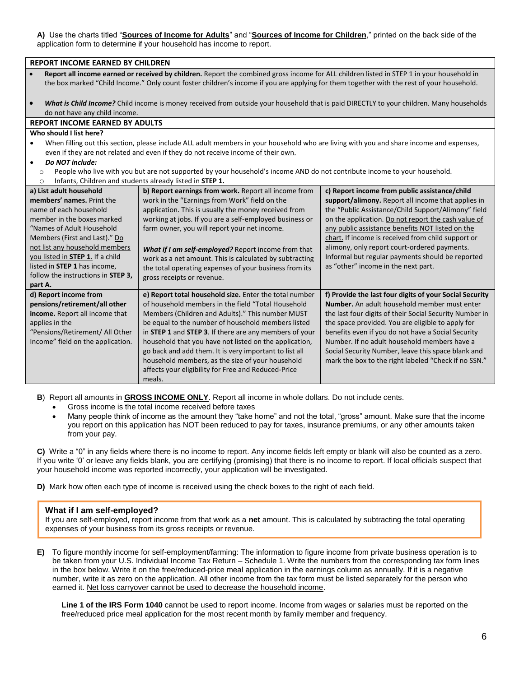**A)** Use the charts titled "**Sources of Income for Adults**" and "**Sources of Income for Children**," printed on the back side of the application form to determine if your household has income to report.

| <b>REPORT INCOME EARNED BY CHILDREN</b>                                                                                                                                                                                                                                                             |                                                                                                                                          |                                                         |  |  |  |  |
|-----------------------------------------------------------------------------------------------------------------------------------------------------------------------------------------------------------------------------------------------------------------------------------------------------|------------------------------------------------------------------------------------------------------------------------------------------|---------------------------------------------------------|--|--|--|--|
| Report all income earned or received by children. Report the combined gross income for ALL children listed in STEP 1 in your household in<br>$\bullet$<br>the box marked "Child Income." Only count foster children's income if you are applying for them together with the rest of your household. |                                                                                                                                          |                                                         |  |  |  |  |
| $\bullet$                                                                                                                                                                                                                                                                                           | What is Child Income? Child income is money received from outside your household that is paid DIRECTLY to your children. Many households |                                                         |  |  |  |  |
| do not have any child income.                                                                                                                                                                                                                                                                       |                                                                                                                                          |                                                         |  |  |  |  |
| <b>REPORT INCOME EARNED BY ADULTS</b>                                                                                                                                                                                                                                                               |                                                                                                                                          |                                                         |  |  |  |  |
| Who should I list here?                                                                                                                                                                                                                                                                             |                                                                                                                                          |                                                         |  |  |  |  |
| $\bullet$                                                                                                                                                                                                                                                                                           | When filling out this section, please include ALL adult members in your household who are living with you and share income and expenses, |                                                         |  |  |  |  |
|                                                                                                                                                                                                                                                                                                     | even if they are not related and even if they do not receive income of their own.                                                        |                                                         |  |  |  |  |
| Do NOT include:<br>$\bullet$                                                                                                                                                                                                                                                                        |                                                                                                                                          |                                                         |  |  |  |  |
| $\circ$                                                                                                                                                                                                                                                                                             | People who live with you but are not supported by your household's income AND do not contribute income to your household.                |                                                         |  |  |  |  |
| $\circ$                                                                                                                                                                                                                                                                                             | Infants, Children and students already listed in STEP 1.                                                                                 |                                                         |  |  |  |  |
| a) List adult household                                                                                                                                                                                                                                                                             | b) Report earnings from work. Report all income from                                                                                     | c) Report income from public assistance/child           |  |  |  |  |
| members' names. Print the                                                                                                                                                                                                                                                                           | work in the "Earnings from Work" field on the                                                                                            | support/alimony. Report all income that applies in      |  |  |  |  |
| name of each household                                                                                                                                                                                                                                                                              | application. This is usually the money received from                                                                                     | the "Public Assistance/Child Support/Alimony" field     |  |  |  |  |
| member in the boxes marked                                                                                                                                                                                                                                                                          | working at jobs. If you are a self-employed business or                                                                                  | on the application. Do not report the cash value of     |  |  |  |  |
| "Names of Adult Household                                                                                                                                                                                                                                                                           | farm owner, you will report your net income.                                                                                             | any public assistance benefits NOT listed on the        |  |  |  |  |
| Members (First and Last)." Do                                                                                                                                                                                                                                                                       |                                                                                                                                          | chart. If income is received from child support or      |  |  |  |  |
| not list any household members                                                                                                                                                                                                                                                                      | What if I am self-employed? Report income from that                                                                                      | alimony, only report court-ordered payments.            |  |  |  |  |
| you listed in STEP 1. If a child<br>listed in STEP 1 has income,                                                                                                                                                                                                                                    | work as a net amount. This is calculated by subtracting                                                                                  | Informal but regular payments should be reported        |  |  |  |  |
| follow the instructions in STEP 3,                                                                                                                                                                                                                                                                  | the total operating expenses of your business from its                                                                                   | as "other" income in the next part.                     |  |  |  |  |
| part A.                                                                                                                                                                                                                                                                                             | gross receipts or revenue.                                                                                                               |                                                         |  |  |  |  |
| d) Report income from                                                                                                                                                                                                                                                                               | e) Report total household size. Enter the total number                                                                                   | f) Provide the last four digits of your Social Security |  |  |  |  |
| pensions/retirement/all other                                                                                                                                                                                                                                                                       | of household members in the field "Total Household                                                                                       | Number. An adult household member must enter            |  |  |  |  |
| income. Report all income that                                                                                                                                                                                                                                                                      | Members (Children and Adults)." This number MUST<br>the last four digits of their Social Security Number in                              |                                                         |  |  |  |  |
| applies in the                                                                                                                                                                                                                                                                                      | be equal to the number of household members listed                                                                                       | the space provided. You are eligible to apply for       |  |  |  |  |
| "Pensions/Retirement/ All Other                                                                                                                                                                                                                                                                     | in STEP 1 and STEP 3. If there are any members of your                                                                                   | benefits even if you do not have a Social Security      |  |  |  |  |
| Income" field on the application.                                                                                                                                                                                                                                                                   | household that you have not listed on the application,                                                                                   | Number. If no adult household members have a            |  |  |  |  |
|                                                                                                                                                                                                                                                                                                     | go back and add them. It is very important to list all                                                                                   | Social Security Number, leave this space blank and      |  |  |  |  |
|                                                                                                                                                                                                                                                                                                     | household members, as the size of your household                                                                                         | mark the box to the right labeled "Check if no SSN."    |  |  |  |  |
|                                                                                                                                                                                                                                                                                                     | affects your eligibility for Free and Reduced-Price                                                                                      |                                                         |  |  |  |  |
|                                                                                                                                                                                                                                                                                                     | meals.                                                                                                                                   |                                                         |  |  |  |  |

**B**) Report all amounts in **GROSS INCOME ONLY**. Report all income in whole dollars. Do not include cents.

- Gross income is the total income received before taxes
- Many people think of income as the amount they "take home" and not the total, "gross" amount. Make sure that the income you report on this application has NOT been reduced to pay for taxes, insurance premiums, or any other amounts taken from your pay.

**C)** Write a "0" in any fields where there is no income to report. Any income fields left empty or blank will also be counted as a zero. If you write '0' or leave any fields blank, you are certifying (promising) that there is no income to report. If local officials suspect that your household income was reported incorrectly, your application will be investigated.

**D)** Mark how often each type of income is received using the check boxes to the right of each field.

#### **What if I am self-employed?**

If you are self-employed, report income from that work as a **net** amount. This is calculated by subtracting the total operating expenses of your business from its gross receipts or revenue.

**E)** To figure monthly income for self-employment/farming: The information to figure income from private business operation is to be taken from your U.S. Individual Income Tax Return – Schedule 1. Write the numbers from the corresponding tax form lines in the box below. Write it on the free/reduced-price meal application in the earnings column as annually. If it is a negative number, write it as zero on the application. All other income from the tax form must be listed separately for the person who earned it. Net loss carryover cannot be used to decrease the household income.

**Line 1 of the IRS Form 1040** cannot be used to report income. Income from wages or salaries must be reported on the free/reduced price meal application for the most recent month by family member and frequency.